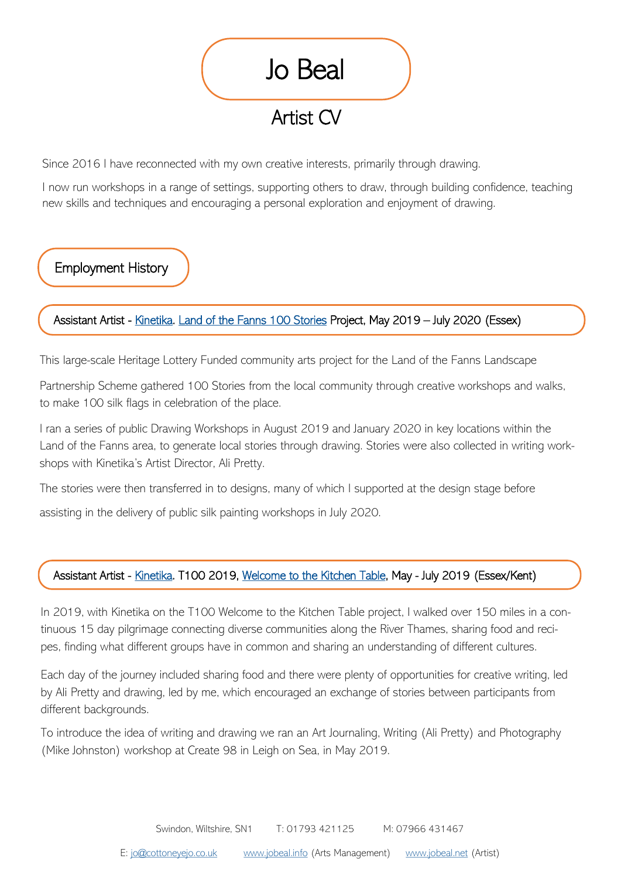

Since 2016 I have reconnected with my own creative interests, primarily through drawing.

I now run workshops in a range of settings, supporting others to draw, through building confidence, teaching new skills and techniques and encouraging a personal exploration and enjoyment of drawing.

Employment History

## Assistant Artist - [Kinetika.](http://www.kinetikaonline.co.uk/) [Land of the Fanns 100 Stories P](https://www.landofthefanns.org/land-fanns-100-stories/)roject, May 2019 - July 2020 (Essex)

This large-scale Heritage Lottery Funded community arts project for the Land of the Fanns Landscape

Partnership Scheme gathered 100 Stories from the local community through creative workshops and walks, to make 100 silk flags in celebration of the place.

I ran a series of public Drawing Workshops in August 2019 and January 2020 in key locations within the Land of the Fanns area, to generate local stories through drawing. Stories were also collected in writing workshops with Kinetika's Artist Director, Ali Pretty.

The stories were then transferred in to designs, many of which I supported at the design stage before

assisting in the delivery of public silk painting workshops in July 2020.

## Assistant Artist - [Kinetika.](http://www.kinetikaonline.co.uk/) T100 2019, [Welcome to the Kitchen Table,](http://thurrock100.com/2019-walks/) May - July 2019 (Essex/Kent)

In 2019, with Kinetika on the T100 Welcome to the Kitchen Table project, I walked over 150 miles in a continuous 15 day pilgrimage connecting diverse communities along the River Thames, sharing food and recipes, finding what different groups have in common and sharing an understanding of different cultures.

Each day of the journey included sharing food and there were plenty of opportunities for creative writing, led by Ali Pretty and drawing, led by me, which encouraged an exchange of stories between participants from different backgrounds.

To introduce the idea of writing and drawing we ran an Art Journaling, Writing (Ali Pretty) and Photography (Mike Johnston) workshop at Create 98 in Leigh on Sea, in May 2019.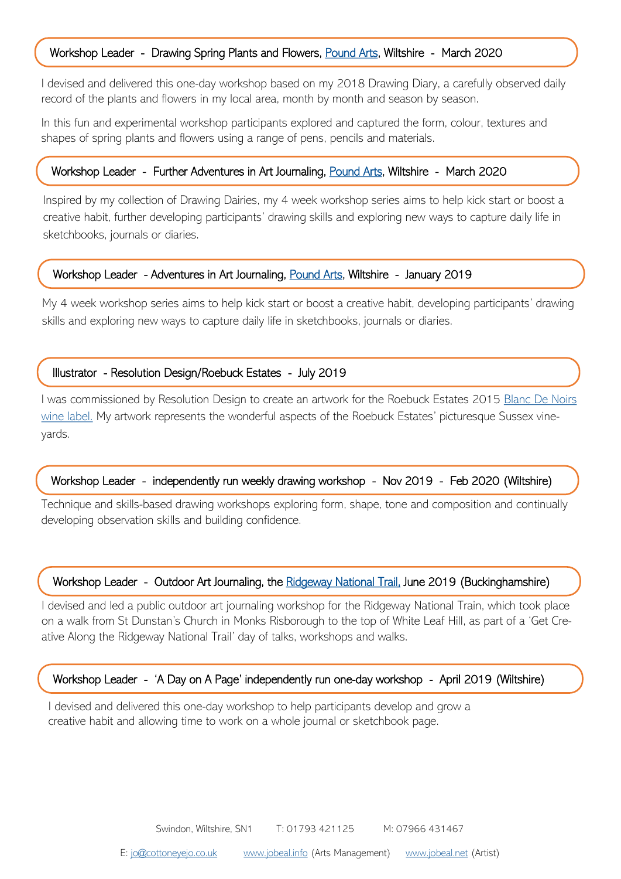## Workshop Leader - Drawing Spring Plants and Flowers, [Pound Arts,](https://poundarts.org.uk/) Wiltshire - March 2020

I devised and delivered this one-day workshop based on my 2018 Drawing Diary, a carefully observed daily record of the plants and flowers in my local area, month by month and season by season.

In this fun and experimental workshop participants explored and captured the form, colour, textures and shapes of spring plants and flowers using a range of pens, pencils and materials.

#### Workshop Leader - Further Adventures in Art Journaling, [Pound Arts,](https://poundarts.org.uk/) Wiltshire - March 2020

Inspired by my collection of Drawing Dairies, my 4 week workshop series aims to help kick start or boost a creative habit, further developing participants' drawing skills and exploring new ways to capture daily life in sketchbooks, journals or diaries.

#### Workshop Leader - Adventures in Art Journaling, [Pound Arts,](https://poundarts.org.uk/) Wiltshire - January 2019

My 4 week workshop series aims to help kick start or boost a creative habit, developing participants' drawing skills and exploring new ways to capture daily life in sketchbooks, journals or diaries.

### Illustrator - Resolution Design/Roebuck Estates - July 2019

I was commissioned by Resolution Design to create an artwork for the Roebuck Estates 2015 [Blanc De Noirs](https://www.roebuckestates.co.uk/unveiling-our-blanc-de-noirs/)  [wine label.](https://www.roebuckestates.co.uk/unveiling-our-blanc-de-noirs/) My artwork represents the wonderful aspects of the Roebuck Estates' picturesque Sussex vineyards.

### Workshop Leader - independently run weekly drawing workshop - Nov 2019 - Feb 2020 (Wiltshire)

Technique and skills-based drawing workshops exploring form, shape, tone and composition and continually developing observation skills and building confidence.

#### Workshop Leader - Outdoor Art Journaling, the [Ridgeway National Trail,](https://www.nationaltrail.co.uk/en_GB/trails/the-ridgeway/) June 2019 (Buckinghamshire)

I devised and led a public outdoor art journaling workshop for the Ridgeway National Train, which took place on a walk from St Dunstan's Church in Monks Risborough to the top of White Leaf Hill, as part of a 'Get Creative Along the Ridgeway National Trail' day of talks, workshops and walks.

#### Workshop Leader - 'A Day on A Page' independently run one-day workshop - April 2019 (Wiltshire)

I devised and delivered this one-day workshop to help participants develop and grow a creative habit and allowing time to work on a whole journal or sketchbook page.